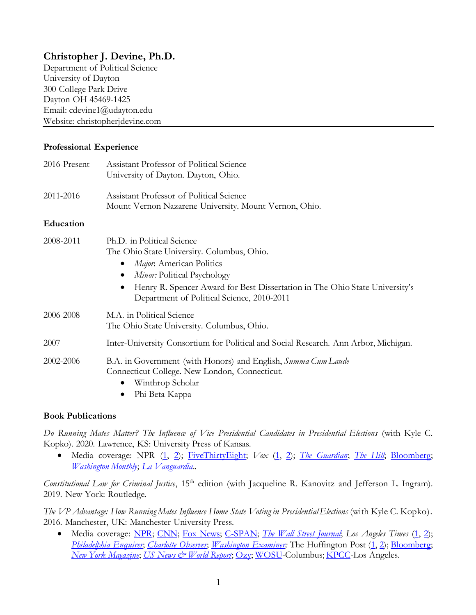# **Christopher J. Devine, Ph.D.**

Department of Political Science University of Dayton 300 College Park Drive Dayton OH 45469-1425 Email: cdevine1@udayton.edu Website: christopherjdevine.com

### **Professional Experience**

| 2016-Present | Assistant Professor of Political Science<br>University of Dayton. Dayton, Ohio.                                                                                                                                                                                                            |
|--------------|--------------------------------------------------------------------------------------------------------------------------------------------------------------------------------------------------------------------------------------------------------------------------------------------|
| 2011-2016    | Assistant Professor of Political Science<br>Mount Vernon Nazarene University. Mount Vernon, Ohio.                                                                                                                                                                                          |
| Education    |                                                                                                                                                                                                                                                                                            |
| 2008-2011    | Ph.D. in Political Science<br>The Ohio State University. Columbus, Ohio.<br>Major. American Politics<br>$\bullet$<br>Minor: Political Psychology<br>$\bullet$<br>Henry R. Spencer Award for Best Dissertation in The Ohio State University's<br>Department of Political Science, 2010-2011 |
| 2006-2008    | M.A. in Political Science<br>The Ohio State University. Columbus, Ohio.                                                                                                                                                                                                                    |
| 2007         | Inter-University Consortium for Political and Social Research. Ann Arbor, Michigan.                                                                                                                                                                                                        |
| 2002-2006    | B.A. in Government (with Honors) and English, Summa Cum Laude<br>Connecticut College. New London, Connecticut.<br>Winthrop Scholar<br>$\text{DL} \cdot \text{D}_{\text{obs}}$ $V_{\text{max}}$                                                                                             |

Phi Beta Kappa

### **Book Publications**

*Do Running Mates Matter? The Influence of Vice Presidential Candidates in Presidential Elections* (with Kyle C. Kopko). 2020. Lawrence, KS: University Press of Kansas.

 Media coverage: NPR [\(1,](https://www.npr.org/2020/05/06/850928572/bidens-vice-presidential-choice-may-be-swayed-by-history-including-his-own) [2\)](https://www.npr.org/transcripts/850485338); [FiveThirtyEight;](https://fivethirtyeight.com/features/will-biden-choose-a-running-mate-based-on-electability-ideology-or-identity/) *Vox* [\(1,](https://www.vox.com/2020/4/14/21209668/joe-biden-vice-president-running-mate) [2\)](https://www.vox.com/2020/5/1/21239006/joe-biden-vice-president); *[The Guardian](https://www.theguardian.com/us-news/2020/apr/26/joe-biden-running-mate-vice-president-democrats)*; *[The Hill](https://thehill.com/homenews/campaign/487897-biden-allies-see-warren-as-potential-running-mate)*; [Bloomberg;](https://www.bloomberg.com/news/articles/2020-03-07/joe-biden-looks-for-his-own-joe-biden-in-running-mate?utm_source=google&utm_medium=bd&cmpId=google) *[Washington Monthly](https://washingtonmonthly.com/2020/04/16/does-bidens-choice-of-a-running-mate-matter/)*; *[La Vanguardia](https://www.lavanguardia.com/internacional/20200510/481055421528/biden-mujer-vicepresidenta-estados-unidos-harris-abrams-warren-whitmer.html)*..

*Constitutional Law for Criminal Justice*, 15th edition (with Jacqueline R. Kanovitz and Jefferson L. Ingram). 2019. New York: Routledge.

*The VP Advantage: How Running Mates Influence Home State Voting in Presidential Elections* (with Kyle C. Kopko)*.* 2016. Manchester, UK: Manchester University Press.

 Media coverage: [NPR;](http://www.npr.org/2016/06/01/480038429/swing-state-vp-picks-dont-help-candidates-much-so-what-does-work) [CNN;](http://www.cnn.com/2016/07/23/opinions/kaine-clinton-vp-opinion-kohn/) [Fox News;](http://www.foxnews.com/opinion/2016/07/15/three-reasons-why-vice-presidential-pick-doesnt-matter-and-why-it-does.html) [C-SPAN;](https://www.c-span.org/video/?412673-3/washington-journal-kyle-kopko-vice-presidential-selections) *[The Wall Street Journal](http://www.wsj.com/articles/how-to-think-about-a-running-mate-1461105194)*; *Los Angeles Times* [\(1,](http://www.latimes.com/nation/la-na-pol-vice-president-qa-20160702-snap-htmlstory.html) [2\)](http://www.latimes.com/opinion/opinion-la/la-ol-tim-kaine-vice-president-snooze-cory-booker-boring-donald-trump-hillary-clinton-20160722-snap-story.html); *[Philadelphia](http://www.philly.com/philly/news/politics/presidential/20160716_A_VP_bump__Not_so_much__The_myths_surrounding_the_choice.html) Enquirer*; *[Charlotte Observer](https://www.charlotteobserver.com/opinion/editorials/article89700722.html)*; *[Washington Examiner](http://www.washingtonexaminer.com/some-unconventional-advice-for-clinton-on-her-vp-pick/article/2596409);* The Huffington Post [\(1](http://www.huffingtonpost.com/entry/veepstakes-2016_us_571fc512e4b0b49df6a9667d)[, 2\)](http://www.huffingtonpost.com/entry/mike-pence-vice-president-polls_us_5787bf7be4b0867123e0271f)[; Bloomberg;](http://www.bloombergview.com/articles/2016-04-28/what-presidential-nominees-need-in-a-running-mate) *[New York Magazine](http://nymag.com/daily/intelligencer/2016/04/myth-of-the-battleground-state-vp-candidate.html)*; *[US News & World Report](http://www.usnews.com/opinion/articles/2016-04-29/do-vice-presidential-picks-actually-swing-votes)*; [Ozy;](http://www.ozy.com/2016/why-americans-should-elect-the-vice-president-too/70824) [WOSU-](http://radio.wosu.org/post/choosing-vice-presidential-nominee)Columbus; [KPCC-](http://www.scpr.org/programs/take-two/2016/06/15/49738/choosing-a-running-mate-isn-t-exactly-rocket-scien/)Los Angeles.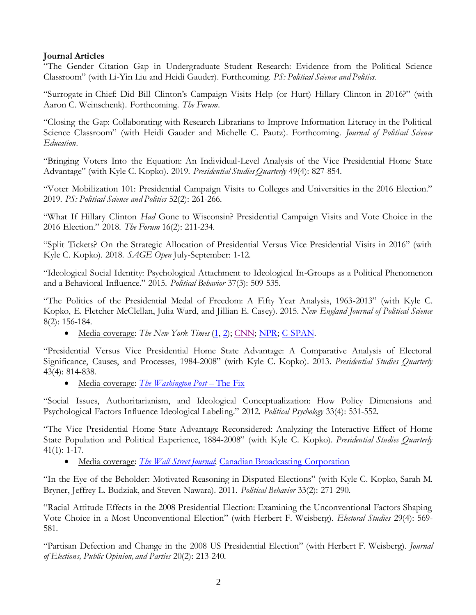## **Journal Articles**

"The Gender Citation Gap in Undergraduate Student Research: Evidence from the Political Science Classroom" (with Li-Yin Liu and Heidi Gauder). Forthcoming. *PS: Political Science and Politics*.

"Surrogate-in-Chief: Did Bill Clinton's Campaign Visits Help (or Hurt) Hillary Clinton in 2016?" (with Aaron C. Weinschenk). Forthcoming. *The Forum*.

"Closing the Gap: Collaborating with Research Librarians to Improve Information Literacy in the Political Science Classroom" (with Heidi Gauder and Michelle C. Pautz). Forthcoming. *Journal of Political Science Education*.

"Bringing Voters Into the Equation: An Individual-Level Analysis of the Vice Presidential Home State Advantage" (with Kyle C. Kopko). 2019. *Presidential Studies Quarterly* 49(4): 827-854.

"Voter Mobilization 101: Presidential Campaign Visits to Colleges and Universities in the 2016 Election." 2019. *PS: Political Science and Politics* 52(2): 261-266.

"What If Hillary Clinton *Had* Gone to Wisconsin? Presidential Campaign Visits and Vote Choice in the 2016 Election." 2018. *The Forum* 16(2): 211-234.

"Split Tickets? On the Strategic Allocation of Presidential Versus Vice Presidential Visits in 2016" (with Kyle C. Kopko). 2018. *SAGE Open* July-September: 1-12.

"Ideological Social Identity: Psychological Attachment to Ideological In-Groups as a Political Phenomenon and a Behavioral Influence." 2015. *Political Behavior* 37(3): 509-535.

"The Politics of the Presidential Medal of Freedom: A Fifty Year Analysis, 1963-2013" (with Kyle C. Kopko, E. Fletcher McClellan, Julia Ward, and Jillian E. Casey). 2015. *New England Journal of Political Science*  8(2): 156-184.

Media coverage: *The New York Times* [\(1,](http://www.nytimes.com/2015/12/28/us/politics/presidential-medal-of-freedom-says-something-about-presenter-too.html?_r=0) [2\)](https://www.nytimes.com/2018/11/16/us/politics/presidential-medal-freedom-adelson.html); [CNN;](https://www.cnn.com/2018/11/10/politics/trump-presidential-medal-of-freedom/index.html) [NPR;](https://www.npr.org/2018/11/16/667860660/viva-las-vegas-elvis-adelson-to-be-honored-with-presidential-medal-of-freedom) [C-SPAN.](http://www.c-span.org/video/?402697-101/washington-journal-kyle-kopko-presidential-medal-freedom-winners)

"Presidential Versus Vice Presidential Home State Advantage: A Comparative Analysis of Electoral Significance, Causes, and Processes, 1984-2008" (with Kyle C. Kopko). 2013. *Presidential Studies Quarterly* 43(4): 814-838.

• Media coverage: *The Washington Post* – The Fix

"Social Issues, Authoritarianism, and Ideological Conceptualization: How Policy Dimensions and Psychological Factors Influence Ideological Labeling." 2012. *Political Psychology* 33(4): 531-552.

"The Vice Presidential Home State Advantage Reconsidered: Analyzing the Interactive Effect of Home State Population and Political Experience, 1884-2008" (with Kyle C. Kopko). *Presidential Studies Quarterly* 41(1): 1-17.

Media coverage: *[The Wall Street Journal](http://www.wsj.com/articles/SB10001424052702304811304577365870484193362)*; [Canadian Broadcasting Corporation](http://www.cbc.ca/news/world/buzz-over-romney-s-vp-choice-heats-up-1.1295604)

"In the Eye of the Beholder: Motivated Reasoning in Disputed Elections" (with Kyle C. Kopko, Sarah M. Bryner, Jeffrey L. Budziak, and Steven Nawara). 2011. *Political Behavior* 33(2): 271-290.

"Racial Attitude Effects in the 2008 Presidential Election: Examining the Unconventional Factors Shaping Vote Choice in a Most Unconventional Election" (with Herbert F. Weisberg). *Electoral Studies* 29(4): 569- 581.

"Partisan Defection and Change in the 2008 US Presidential Election" (with Herbert F. Weisberg). *Journal of Elections, Public Opinion, and Parties* 20(2): 213-240.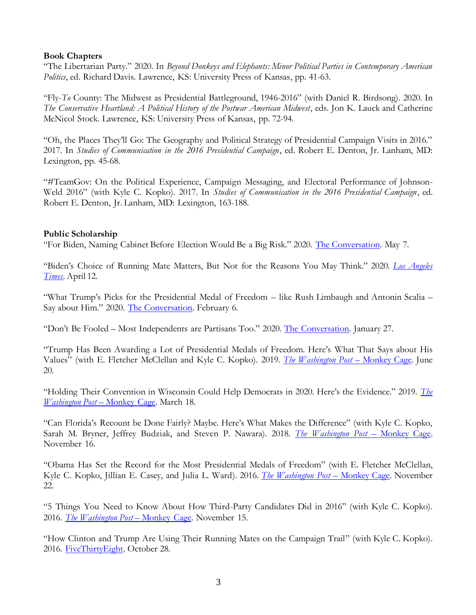### **Book Chapters**

"The Libertarian Party." 2020. In *Beyond Donkeys and Elephants: Minor Political Parties in Contemporary American Politics*, ed. Richard Davis. Lawrence, KS: University Press of Kansas, pp. 41-63.

"Fly-*To* County: The Midwest as Presidential Battleground, 1946-2016" (with Daniel R. Birdsong). 2020. In *The Conservative Heartland: A Political History of the Postwar American Midwest*, eds. Jon K. Lauck and Catherine McNicol Stock. Lawrence, KS: University Press of Kansas, pp. 72-94.

"Oh, the Places They'll Go: The Geography and Political Strategy of Presidential Campaign Visits in 2016." 2017. In *Studies of Communication in the 2016 Presidential Campaign*, ed. Robert E. Denton, Jr. Lanham, MD: Lexington, pp. 45-68.

"#TeamGov: On the Political Experience, Campaign Messaging, and Electoral Performance of Johnson-Weld 2016" (with Kyle C. Kopko). 2017. In *Studies of Communication in the 2016 Presidential Campaign*, ed. Robert E. Denton, Jr. Lanham, MD: Lexington, 163-188.

#### **Public Scholarship**

"For Biden, Naming Cabinet Before Election Would Be a Big Risk." 2020. [The Conversation.](https://theconversation.com/for-biden-naming-cabinet-before-election-would-be-a-big-risk-137741) May 7.

"Biden's Choice of Running Mate Matters, But Not for the Reasons You May Think." 2020. *[Los Angeles](https://www.latimes.com/opinion/story/2020-04-12/biden-vice-president-choice)  [Times](https://www.latimes.com/opinion/story/2020-04-12/biden-vice-president-choice)*. April 12.

"What Trump's Picks for the Presidential Medal of Freedom – like Rush Limbaugh and Antonin Scalia – Say about Him." 2020. [The Conversation.](https://theconversation.com/what-trumps-picks-for-the-presidential-medal-of-freedom-like-rush-limbaugh-and-antonin-scalia-say-about-him-131362) February 6.

"Don't Be Fooled – Most Independents are Partisans Too." 2020. [The Conversation.](https://theconversation.com/dont-be-fooled-most-independents-are-partisans-too-128670) January 27.

"Trump Has Been Awarding a Lot of Presidential Medals of Freedom. Here's What That Says about His Values" (with E. Fletcher McClellan and Kyle C. Kopko). 2019. *[The Washington Post](https://www.washingtonpost.com/politics/2019/06/20/trump-has-been-awarding-lot-presidential-medals-freedom-heres-what-that-says-about-his-values/?utm_term=.9efa885c7b0e)* – Monkey Cage. June 20.

"Holding Their Convention in Wisconsin Could Help Democrats in 2020. Here's the Evidence." 2019. *[The](https://www.washingtonpost.com/politics/2019/03/18/holding-their-convention-wisconsin-could-help-democrats-heres-evidence/?utm_term=.92070684e185)  [Washington Post](https://www.washingtonpost.com/politics/2019/03/18/holding-their-convention-wisconsin-could-help-democrats-heres-evidence/?utm_term=.92070684e185)* – Monkey Cage. March 18.

"Can Florida's Recount be Done Fairly? Maybe. Here's What Makes the Difference" (with Kyle C. Kopko, Sarah M. Bryner, Jeffrey Budziak, and Steven P. Nawara). 2018. *[The Washington Post](https://www.washingtonpost.com/news/monkey-cage/wp/2018/11/16/can-floridas-recount-be-done-fairly-maybe-heres-what-makes-the-difference/?utm_term=.c8064839dbb6)* – Monkey Cage. November 16.

"Obama Has Set the Record for the Most Presidential Medals of Freedom" (with E. Fletcher McClellan, Kyle C. Kopko, Jillian E. Casey, and Julia L. Ward). 2016. *[The Washington Post](https://www.washingtonpost.com/news/monkey-cage/wp/2016/11/22/obama-has-set-the-record-for-the-most-presidential-medals-of-freedom/?utm_term=.eae128b7b571)* – Monkey Cage. November 22.

"5 Things You Need to Know About How Third-Party Candidates Did in 2016" (with Kyle C. Kopko). 2016. *[The Washington Post](https://www.washingtonpost.com/news/monkey-cage/wp/2016/11/15/5-things-you-need-to-know-about-how-third-party-candidates-did-in-2016/?utm_term=.33f046ae0046)* – Monkey Cage. November 15.

"How Clinton and Trump Are Using Their Running Mates on the Campaign Trail" (with Kyle C. Kopko). 2016. [FiveThirtyEight.](https://fivethirtyeight.com/features/how-clinton-and-trump-are-using-their-running-mates-on-the-campaign-trail/) October 28.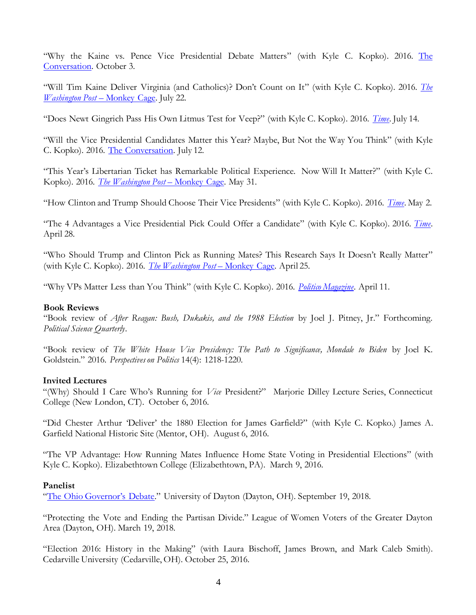"Why the Kaine vs. Pence Vice Presidential Debate Matters" (with Kyle C. Kopko). 2016. The [Conversation.](https://theconversation.com/why-the-kaine-vs-pence-vice-presidential-debate-matters-66379) October 3.

"Will Tim Kaine Deliver Virginia (and Catholics)? Don't Count on It" (with Kyle C. Kopko). 2016. *[The](https://www.washingtonpost.com/news/monkey-cage/wp/2016/07/22/will-tim-kaine-deliver-virginia-and-catholics-dont-count-on-it/)  [Washington Post](https://www.washingtonpost.com/news/monkey-cage/wp/2016/07/22/will-tim-kaine-deliver-virginia-and-catholics-dont-count-on-it/)* – Monkey Cage. July 22.

"Does Newt Gingrich Pass His Own Litmus Test for Veep?" (with Kyle C. Kopko). 2016. *[Time](http://time.com/4406197/newt-gingrich-vp-test/)*. July 14.

"Will the Vice Presidential Candidates Matter this Year? Maybe, But Not the Way You Think" (with Kyle C. Kopko). 2016. [The Conversation.](https://theconversation.com/will-the-vice-presidential-candidates-matter-this-year-maybe-but-not-the-way-you-think-62401) July 12.

"This Year's Libertarian Ticket has Remarkable Political Experience. Now Will It Matter?" (with Kyle C. Kopko). 2016. *[The Washington Post](https://www.washingtonpost.com/news/monkey-cage/wp/2016/05/31/this-years-libertarian-ticket-has-remarkable-political-experience-now-will-it-matter/)* – Monkey Cage. May 31.

"How Clinton and Trump Should Choose Their Vice Presidents" (with Kyle C. Kopko). 2016. *[Time](http://time.com/4311537/hillary-clinton-and-donald-trump-vice-presidents/)*. May 2.

"The 4 Advantages a Vice Presidential Pick Could Offer a Candidate" (with Kyle C. Kopko). 2016. *[Time](http://time.com/4311400/why-ted-cruz-chose-carly-fiorina/)*. April 28.

"Who Should Trump and Clinton Pick as Running Mates? This Research Says It Doesn't Really Matter" (with Kyle C. Kopko). 2016. *[The Washington Post](https://www.washingtonpost.com/news/monkey-cage/wp/2016/04/25/who-should-trump-and-clinton-pick-as-running-mates-heres-what-the-research-says/)* – Monkey Cage. April 25.

"Why VPs Matter Less than You Think" (with Kyle C. Kopko). 2016. *[Politico Magazine](http://www.politico.com/magazine/story/2016/04/election-2016-vice-president-selection-matters-less-than-you-think-213805)*. April 11.

#### **Book Reviews**

"Book review of *After Reagan: Bush, Dukakis, and the 1988 Election* by Joel J. Pitney, Jr." Forthcoming. *Political Science Quarterly*.

"Book review of *The White House Vice Presidency: The Path to Significance, Mondale to Biden* by Joel K. Goldstein." 2016. *Perspectives on Politics* 14(4): 1218-1220.

#### **Invited Lectures**

"(Why) Should I Care Who's Running for *Vice* President?" Marjorie Dilley Lecture Series, Connecticut College (New London, CT). October 6, 2016.

"Did Chester Arthur 'Deliver' the 1880 Election for James Garfield?" (with Kyle C. Kopko.) James A. Garfield National Historic Site (Mentor, OH). August 6, 2016.

"The VP Advantage: How Running Mates Influence Home State Voting in Presidential Elections" (with Kyle C. Kopko). Elizabethtown College (Elizabethtown, PA). March 9, 2016.

### **Panelist**

["The Ohio Governor's Debate."](https://www.daytondailynews.com/news/local/watch-the-full-ohio-governor-debate-dayton/AjrGOS4Z4PW8IAhfhdbPBO/) University of Dayton (Dayton, OH). September 19, 2018.

"Protecting the Vote and Ending the Partisan Divide." League of Women Voters of the Greater Dayton Area (Dayton, OH). March 19, 2018.

"Election 2016: History in the Making" (with Laura Bischoff, James Brown, and Mark Caleb Smith). Cedarville University (Cedarville, OH). October 25, 2016.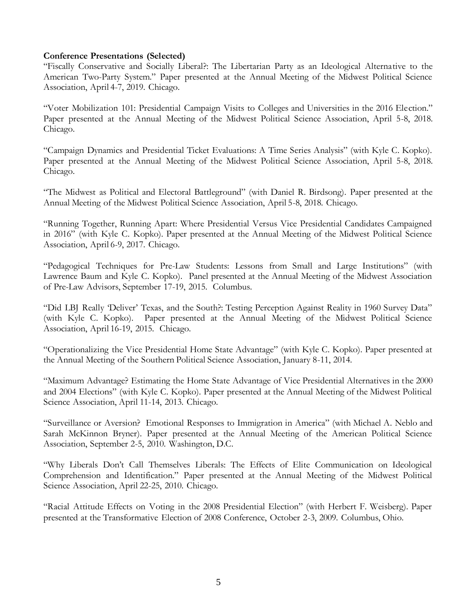#### **Conference Presentations (Selected)**

"Fiscally Conservative and Socially Liberal?: The Libertarian Party as an Ideological Alternative to the American Two-Party System." Paper presented at the Annual Meeting of the Midwest Political Science Association, April 4-7, 2019. Chicago.

"Voter Mobilization 101: Presidential Campaign Visits to Colleges and Universities in the 2016 Election." Paper presented at the Annual Meeting of the Midwest Political Science Association, April 5-8, 2018. Chicago.

"Campaign Dynamics and Presidential Ticket Evaluations: A Time Series Analysis" (with Kyle C. Kopko). Paper presented at the Annual Meeting of the Midwest Political Science Association, April 5-8, 2018. Chicago.

"The Midwest as Political and Electoral Battleground" (with Daniel R. Birdsong). Paper presented at the Annual Meeting of the Midwest Political Science Association, April 5-8, 2018. Chicago.

"Running Together, Running Apart: Where Presidential Versus Vice Presidential Candidates Campaigned in 2016" (with Kyle C. Kopko). Paper presented at the Annual Meeting of the Midwest Political Science Association, April 6-9, 2017. Chicago.

"Pedagogical Techniques for Pre-Law Students: Lessons from Small and Large Institutions" (with Lawrence Baum and Kyle C. Kopko). Panel presented at the Annual Meeting of the Midwest Association of Pre-Law Advisors, September 17-19, 2015. Columbus.

"Did LBJ Really 'Deliver' Texas, and the South?: Testing Perception Against Reality in 1960 Survey Data" (with Kyle C. Kopko). Paper presented at the Annual Meeting of the Midwest Political Science Association, April 16-19, 2015. Chicago.

"Operationalizing the Vice Presidential Home State Advantage" (with Kyle C. Kopko). Paper presented at the Annual Meeting of the Southern Political Science Association, January 8-11, 2014.

"Maximum Advantage? Estimating the Home State Advantage of Vice Presidential Alternatives in the 2000 and 2004 Elections" (with Kyle C. Kopko). Paper presented at the Annual Meeting of the Midwest Political Science Association, April 11-14, 2013. Chicago.

"Surveillance or Aversion? Emotional Responses to Immigration in America" (with Michael A. Neblo and Sarah McKinnon Bryner). Paper presented at the Annual Meeting of the American Political Science Association, September 2-5, 2010. Washington, D.C.

"Why Liberals Don't Call Themselves Liberals: The Effects of Elite Communication on Ideological Comprehension and Identification." Paper presented at the Annual Meeting of the Midwest Political Science Association, April 22-25, 2010. Chicago.

"Racial Attitude Effects on Voting in the 2008 Presidential Election" (with Herbert F. Weisberg). Paper presented at the Transformative Election of 2008 Conference, October 2-3, 2009. Columbus, Ohio.